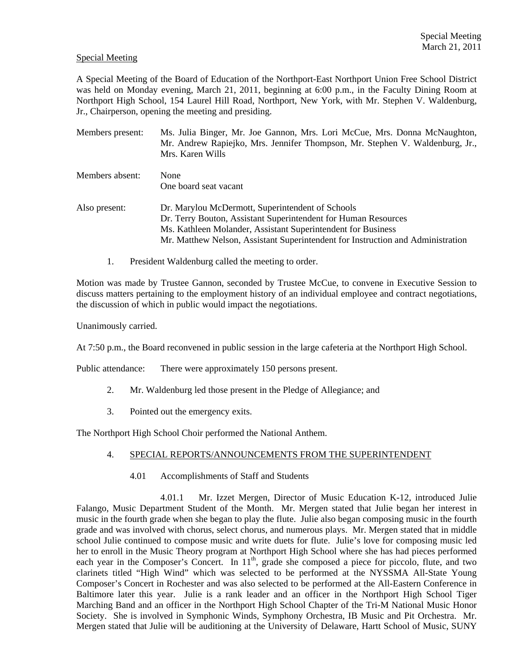## Special Meeting

A Special Meeting of the Board of Education of the Northport-East Northport Union Free School District was held on Monday evening, March 21, 2011, beginning at 6:00 p.m., in the Faculty Dining Room at Northport High School, 154 Laurel Hill Road, Northport, New York, with Mr. Stephen V. Waldenburg, Jr., Chairperson, opening the meeting and presiding.

| Members present: | Ms. Julia Binger, Mr. Joe Gannon, Mrs. Lori McCue, Mrs. Donna McNaughton,<br>Mr. Andrew Rapiejko, Mrs. Jennifer Thompson, Mr. Stephen V. Waldenburg, Jr.,<br>Mrs. Karen Wills                                                                                         |
|------------------|-----------------------------------------------------------------------------------------------------------------------------------------------------------------------------------------------------------------------------------------------------------------------|
| Members absent:  | None<br>One board seat vacant                                                                                                                                                                                                                                         |
| Also present:    | Dr. Marylou McDermott, Superintendent of Schools<br>Dr. Terry Bouton, Assistant Superintendent for Human Resources<br>Ms. Kathleen Molander, Assistant Superintendent for Business<br>Mr. Matthew Nelson, Assistant Superintendent for Instruction and Administration |

1. President Waldenburg called the meeting to order.

Motion was made by Trustee Gannon, seconded by Trustee McCue, to convene in Executive Session to discuss matters pertaining to the employment history of an individual employee and contract negotiations, the discussion of which in public would impact the negotiations.

Unanimously carried.

At 7:50 p.m., the Board reconvened in public session in the large cafeteria at the Northport High School.

Public attendance: There were approximately 150 persons present.

- 2. Mr. Waldenburg led those present in the Pledge of Allegiance; and
- 3. Pointed out the emergency exits.

The Northport High School Choir performed the National Anthem.

# 4. SPECIAL REPORTS/ANNOUNCEMENTS FROM THE SUPERINTENDENT

4.01 Accomplishments of Staff and Students

 4.01.1 Mr. Izzet Mergen, Director of Music Education K-12, introduced Julie Falango, Music Department Student of the Month. Mr. Mergen stated that Julie began her interest in music in the fourth grade when she began to play the flute. Julie also began composing music in the fourth grade and was involved with chorus, select chorus, and numerous plays. Mr. Mergen stated that in middle school Julie continued to compose music and write duets for flute. Julie's love for composing music led her to enroll in the Music Theory program at Northport High School where she has had pieces performed each year in the Composer's Concert. In 11<sup>th</sup>, grade she composed a piece for piccolo, flute, and two clarinets titled "High Wind" which was selected to be performed at the NYSSMA All-State Young Composer's Concert in Rochester and was also selected to be performed at the All-Eastern Conference in Baltimore later this year. Julie is a rank leader and an officer in the Northport High School Tiger Marching Band and an officer in the Northport High School Chapter of the Tri-M National Music Honor Society. She is involved in Symphonic Winds, Symphony Orchestra, IB Music and Pit Orchestra. Mr. Mergen stated that Julie will be auditioning at the University of Delaware, Hartt School of Music, SUNY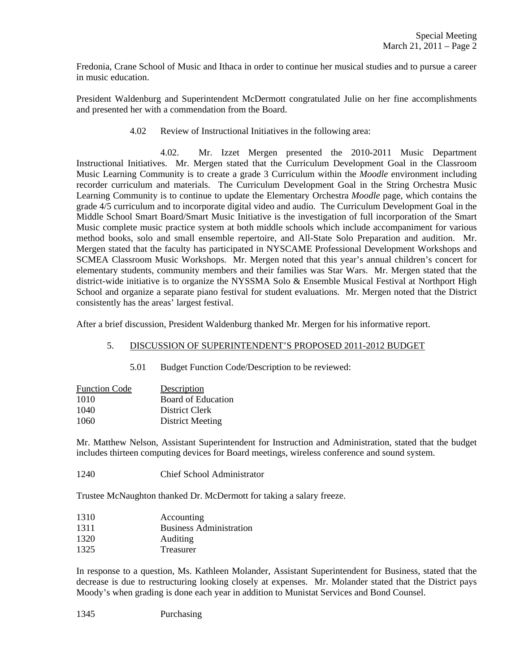Fredonia, Crane School of Music and Ithaca in order to continue her musical studies and to pursue a career in music education.

President Waldenburg and Superintendent McDermott congratulated Julie on her fine accomplishments and presented her with a commendation from the Board.

4.02 Review of Instructional Initiatives in the following area:

 4.02. Mr. Izzet Mergen presented the 2010-2011 Music Department Instructional Initiatives. Mr. Mergen stated that the Curriculum Development Goal in the Classroom Music Learning Community is to create a grade 3 Curriculum within the *Moodle* environment including recorder curriculum and materials. The Curriculum Development Goal in the String Orchestra Music Learning Community is to continue to update the Elementary Orchestra *Moodle* page, which contains the grade 4/5 curriculum and to incorporate digital video and audio. The Curriculum Development Goal in the Middle School Smart Board/Smart Music Initiative is the investigation of full incorporation of the Smart Music complete music practice system at both middle schools which include accompaniment for various method books, solo and small ensemble repertoire, and All-State Solo Preparation and audition. Mr. Mergen stated that the faculty has participated in NYSCAME Professional Development Workshops and SCMEA Classroom Music Workshops. Mr. Mergen noted that this year's annual children's concert for elementary students, community members and their families was Star Wars. Mr. Mergen stated that the district-wide initiative is to organize the NYSSMA Solo & Ensemble Musical Festival at Northport High School and organize a separate piano festival for student evaluations. Mr. Mergen noted that the District consistently has the areas' largest festival.

After a brief discussion, President Waldenburg thanked Mr. Mergen for his informative report.

# 5. DISCUSSION OF SUPERINTENDENT'S PROPOSED 2011-2012 BUDGET

5.01 Budget Function Code/Description to be reviewed:

| <b>Function Code</b> | Description             |
|----------------------|-------------------------|
| 1010                 | Board of Education      |
| 1040                 | District Clerk          |
| 1060                 | <b>District Meeting</b> |

Mr. Matthew Nelson, Assistant Superintendent for Instruction and Administration, stated that the budget includes thirteen computing devices for Board meetings, wireless conference and sound system.

1240 Chief School Administrator

Trustee McNaughton thanked Dr. McDermott for taking a salary freeze.

- 1310 Accounting
- 1311 Business Administration
- 1320 Auditing
- 1325 Treasurer

In response to a question, Ms. Kathleen Molander, Assistant Superintendent for Business, stated that the decrease is due to restructuring looking closely at expenses. Mr. Molander stated that the District pays Moody's when grading is done each year in addition to Munistat Services and Bond Counsel.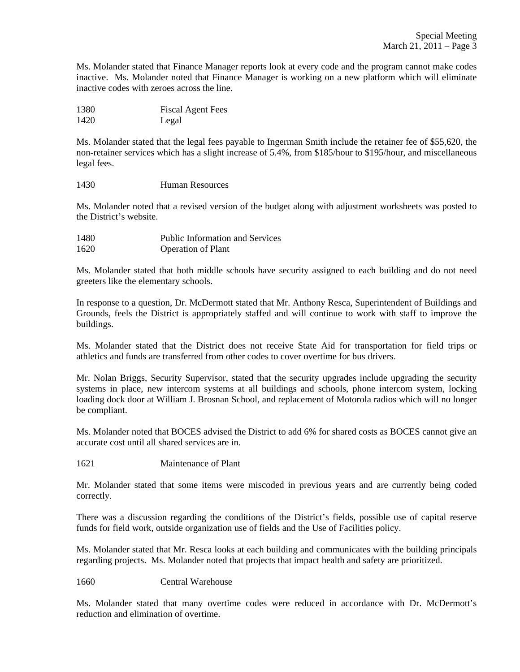Ms. Molander stated that Finance Manager reports look at every code and the program cannot make codes inactive. Ms. Molander noted that Finance Manager is working on a new platform which will eliminate inactive codes with zeroes across the line.

| 1380 | <b>Fiscal Agent Fees</b> |
|------|--------------------------|
| 1420 | Legal                    |

Ms. Molander stated that the legal fees payable to Ingerman Smith include the retainer fee of \$55,620, the non-retainer services which has a slight increase of 5.4%, from \$185/hour to \$195/hour, and miscellaneous legal fees.

1430 Human Resources

Ms. Molander noted that a revised version of the budget along with adjustment worksheets was posted to the District's website.

| 1480 | <b>Public Information and Services</b> |
|------|----------------------------------------|
| 1620 | <b>Operation of Plant</b>              |

Ms. Molander stated that both middle schools have security assigned to each building and do not need greeters like the elementary schools.

In response to a question, Dr. McDermott stated that Mr. Anthony Resca, Superintendent of Buildings and Grounds, feels the District is appropriately staffed and will continue to work with staff to improve the buildings.

Ms. Molander stated that the District does not receive State Aid for transportation for field trips or athletics and funds are transferred from other codes to cover overtime for bus drivers.

Mr. Nolan Briggs, Security Supervisor, stated that the security upgrades include upgrading the security systems in place, new intercom systems at all buildings and schools, phone intercom system, locking loading dock door at William J. Brosnan School, and replacement of Motorola radios which will no longer be compliant.

Ms. Molander noted that BOCES advised the District to add 6% for shared costs as BOCES cannot give an accurate cost until all shared services are in.

1621 Maintenance of Plant

Mr. Molander stated that some items were miscoded in previous years and are currently being coded correctly.

There was a discussion regarding the conditions of the District's fields, possible use of capital reserve funds for field work, outside organization use of fields and the Use of Facilities policy.

Ms. Molander stated that Mr. Resca looks at each building and communicates with the building principals regarding projects. Ms. Molander noted that projects that impact health and safety are prioritized.

1660 Central Warehouse

Ms. Molander stated that many overtime codes were reduced in accordance with Dr. McDermott's reduction and elimination of overtime.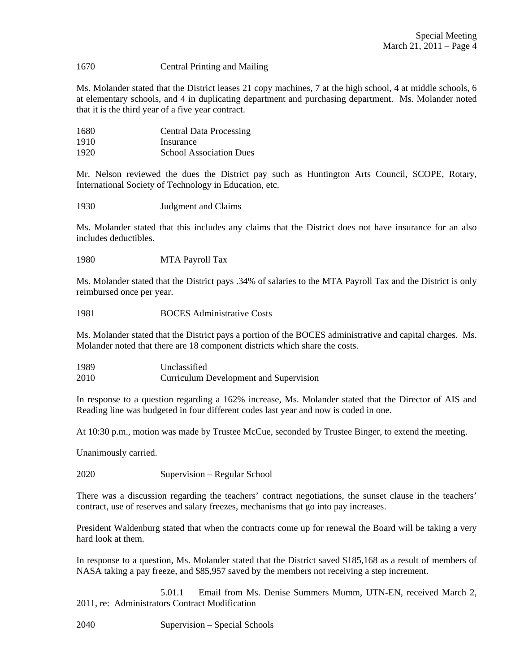## 1670 Central Printing and Mailing

Ms. Molander stated that the District leases 21 copy machines, 7 at the high school, 4 at middle schools, 6 at elementary schools, and 4 in duplicating department and purchasing department. Ms. Molander noted that it is the third year of a five year contract.

| 1680 | <b>Central Data Processing</b> |
|------|--------------------------------|
| 1910 | Insurance                      |
| 1920 | <b>School Association Dues</b> |

Mr. Nelson reviewed the dues the District pay such as Huntington Arts Council, SCOPE, Rotary, International Society of Technology in Education, etc.

1930 Judgment and Claims

Ms. Molander stated that this includes any claims that the District does not have insurance for an also includes deductibles.

1980 MTA Payroll Tax

Ms. Molander stated that the District pays .34% of salaries to the MTA Payroll Tax and the District is only reimbursed once per year.

# 1981 BOCES Administrative Costs

Ms. Molander stated that the District pays a portion of the BOCES administrative and capital charges. Ms. Molander noted that there are 18 component districts which share the costs.

| 1989 | Unclassified                           |
|------|----------------------------------------|
| 2010 | Curriculum Development and Supervision |

In response to a question regarding a 162% increase, Ms. Molander stated that the Director of AIS and Reading line was budgeted in four different codes last year and now is coded in one.

At 10:30 p.m., motion was made by Trustee McCue, seconded by Trustee Binger, to extend the meeting.

Unanimously carried.

2020 Supervision – Regular School

There was a discussion regarding the teachers' contract negotiations, the sunset clause in the teachers' contract, use of reserves and salary freezes, mechanisms that go into pay increases.

President Waldenburg stated that when the contracts come up for renewal the Board will be taking a very hard look at them.

In response to a question, Ms. Molander stated that the District saved \$185,168 as a result of members of NASA taking a pay freeze, and \$85,957 saved by the members not receiving a step increment.

 5.01.1 Email from Ms. Denise Summers Mumm, UTN-EN, received March 2, 2011, re: Administrators Contract Modification

2040 Supervision – Special Schools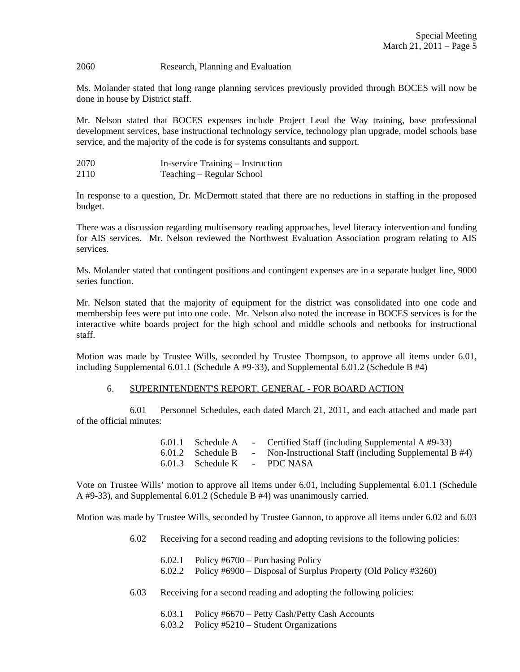#### 2060 Research, Planning and Evaluation

Ms. Molander stated that long range planning services previously provided through BOCES will now be done in house by District staff.

Mr. Nelson stated that BOCES expenses include Project Lead the Way training, base professional development services, base instructional technology service, technology plan upgrade, model schools base service, and the majority of the code is for systems consultants and support.

2070 In-service Training – Instruction 2110 Teaching – Regular School

In response to a question, Dr. McDermott stated that there are no reductions in staffing in the proposed budget.

There was a discussion regarding multisensory reading approaches, level literacy intervention and funding for AIS services. Mr. Nelson reviewed the Northwest Evaluation Association program relating to AIS services.

Ms. Molander stated that contingent positions and contingent expenses are in a separate budget line, 9000 series function.

Mr. Nelson stated that the majority of equipment for the district was consolidated into one code and membership fees were put into one code. Mr. Nelson also noted the increase in BOCES services is for the interactive white boards project for the high school and middle schools and netbooks for instructional staff.

Motion was made by Trustee Wills, seconded by Trustee Thompson, to approve all items under 6.01, including Supplemental 6.01.1 (Schedule A #9-33), and Supplemental 6.01.2 (Schedule B #4)

#### 6. SUPERINTENDENT'S REPORT, GENERAL - FOR BOARD ACTION

 6.01 Personnel Schedules, each dated March 21, 2011, and each attached and made part of the official minutes:

|                              | 6.01.1 Schedule A - Certified Staff (including Supplemental A #9-33)      |
|------------------------------|---------------------------------------------------------------------------|
|                              | 6.01.2 Schedule B - Non-Instructional Staff (including Supplemental B #4) |
| 6.01.3 Schedule K - PDC NASA |                                                                           |

Vote on Trustee Wills' motion to approve all items under 6.01, including Supplemental 6.01.1 (Schedule A #9-33), and Supplemental 6.01.2 (Schedule B #4) was unanimously carried.

Motion was made by Trustee Wills, seconded by Trustee Gannon, to approve all items under 6.02 and 6.03

- 6.02 Receiving for a second reading and adopting revisions to the following policies:
	- 6.02.1 Policy #6700 Purchasing Policy
	- 6.02.2 Policy #6900 Disposal of Surplus Property (Old Policy #3260)
- 6.03 Receiving for a second reading and adopting the following policies:
	- 6.03.1 Policy #6670 Petty Cash/Petty Cash Accounts
	- 6.03.2 Policy #5210 Student Organizations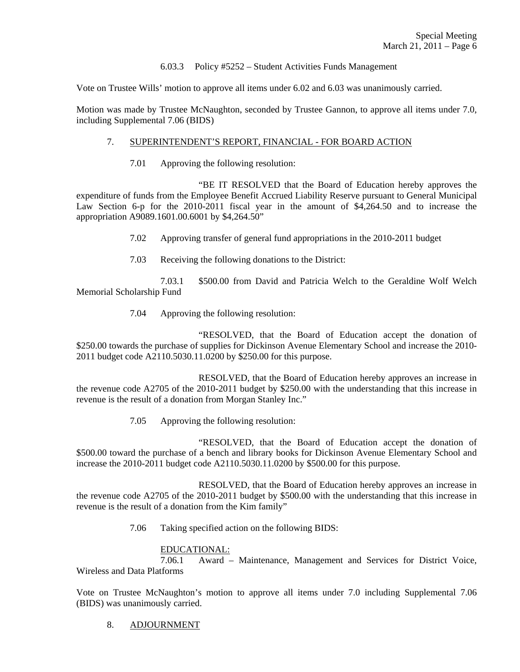## 6.03.3 Policy #5252 – Student Activities Funds Management

Vote on Trustee Wills' motion to approve all items under 6.02 and 6.03 was unanimously carried.

Motion was made by Trustee McNaughton, seconded by Trustee Gannon, to approve all items under 7.0, including Supplemental 7.06 (BIDS)

# 7. SUPERINTENDENT'S REPORT, FINANCIAL - FOR BOARD ACTION

7.01 Approving the following resolution:

 "BE IT RESOLVED that the Board of Education hereby approves the expenditure of funds from the Employee Benefit Accrued Liability Reserve pursuant to General Municipal Law Section 6-p for the 2010-2011 fiscal year in the amount of \$4,264.50 and to increase the appropriation A9089.1601.00.6001 by \$4,264.50"

- 7.02 Approving transfer of general fund appropriations in the 2010-2011 budget
- 7.03 Receiving the following donations to the District:

 7.03.1 \$500.00 from David and Patricia Welch to the Geraldine Wolf Welch Memorial Scholarship Fund

7.04 Approving the following resolution:

 "RESOLVED, that the Board of Education accept the donation of \$250.00 towards the purchase of supplies for Dickinson Avenue Elementary School and increase the 2010- 2011 budget code A2110.5030.11.0200 by \$250.00 for this purpose.

 RESOLVED, that the Board of Education hereby approves an increase in the revenue code A2705 of the 2010-2011 budget by \$250.00 with the understanding that this increase in revenue is the result of a donation from Morgan Stanley Inc."

7.05 Approving the following resolution:

 "RESOLVED, that the Board of Education accept the donation of \$500.00 toward the purchase of a bench and library books for Dickinson Avenue Elementary School and increase the 2010-2011 budget code A2110.5030.11.0200 by \$500.00 for this purpose.

 RESOLVED, that the Board of Education hereby approves an increase in the revenue code A2705 of the 2010-2011 budget by \$500.00 with the understanding that this increase in revenue is the result of a donation from the Kim family"

7.06 Taking specified action on the following BIDS:

# EDUCATIONAL:<br>7.06.1 Award -

Award – Maintenance, Management and Services for District Voice, Wireless and Data Platforms

Vote on Trustee McNaughton's motion to approve all items under 7.0 including Supplemental 7.06 (BIDS) was unanimously carried.

8. ADJOURNMENT